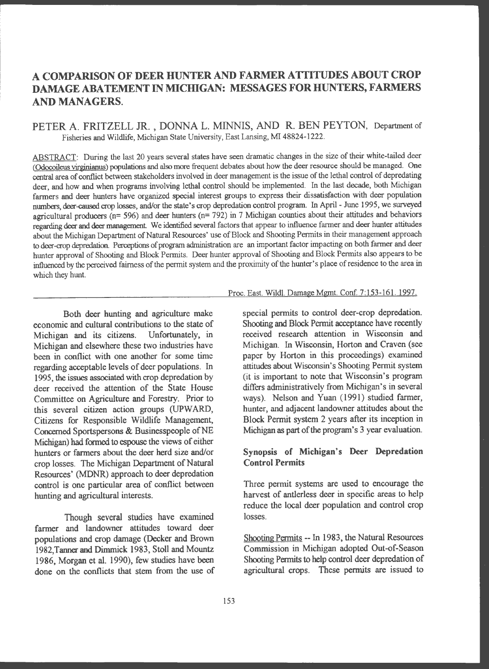# **ACOMPARISONOFDEERHUNTERANDFARMERATTITUDESABOUTCROP DAMAGE ABATEMENT IN MICHIGAN: MESSAGES FOR HUNTERS, FARMERS AND MANAGERS.**

# PETER A. FRITZELL JR., DONNA L. MINNIS, AND R. BEN PEYTON, Department of Fisheries and Wildlife, Michigan State University, East Lansing, MI 48824-1222.

ABSTRACT: During the last 20 years several states have seen dramatic changes in the size of their white-tailed deer (Odocoileus virginianus) populations and also more frequent debates about how the deer resource should be managed. One central area of conflict between stakeholders involved in deer management is the issue of the lethal control of depredating deer, and how and when programs involving lethal control should be implemented. In the last decade, both Michigan farmers and deer hunters have organized special interest groups to express their dissatisfaction with deer population numbers, deer-caused crop losses, and/or the state's crop depredation control program. In April -June 1995, we surveyed agricultural producers ( $n= 596$ ) and deer hunters ( $n= 792$ ) in 7 Michigan counties about their attitudes and behaviors regarding deer and deer management. We identified several factors that appear to influence farmer and deer hunter attitudes about the Michigan Department of Natural Resources' use of Block and Shooting Pennits in their management approach to deer-crop depredation. Perceptions of program administration are an important factor impacting on both farmer and deer hunter approval of Shooting and Block Permits. Deer hunter approval of Shooting and Block Permits also appears to be influenced by the perceived fairness of the permit system and the proximity of the hunter's place of residence to the area in which they hunt.

#### Proc. East. Wildl. Damage Mgmt. Conf. 7: 153-16 I. 1997.

Both deer hunting and agriculture make economic and cultural contributions to the state of Michigan and its citizens. Unfortunately, in Michigan and elsewhere these two industries have been in conflict with one another for some time regarding acceptable levels of deer populations. In 1995, the issues associated with crop depredation by deer received the attention of the State House Committee on Agriculture and Forestry. Prior to this several citizen action groups (UPWARD, Citizens for Responsible Wildlife Management, Concerned Sportspersons & Businesspeople of NE Michigan) had formed to espouse the views of either hunters or farmers about the deer herd size and/or crop losses. The Michigan Department of Natural Resources' (MDNR) approach to deer depredation control is one particular area of conflict between hunting and agricultural interests.

Though several studies have examined farmer and landowner attitudes toward deer populations and crop damage (Decker and Brown 1982,Tanner and Dimmick 1983, Stoll and Mountz 1986, Morgan et al. 1990), few studies have been done on the conflicts that stem from the use of special permits to control deer-crop depredation. Shooting and Block Permit acceptance have recently received research attention in Wisconsin and Michigan. In Wisconsin, Horton and Craven (see paper by Horton in this proceedings) examined attitudes about Wisconsin's Shooting Permit system (it is important to note that Wisconsin's program differs administratively from Michigan's in several ways). Nelson and Yuan (1991) studied farmer, hunter, and adjacent landowner attitudes about the Block Permit system 2 years after its inception in Michigan **as part** of the program's 3 year evaluation.

# **Synopsis of Michigan's Deer Depredation Control Permits**

Three permit systems are used to encourage the harvest of antlerless deer in specific areas to help reduce the local deer population and control crop losses.

Shooting Permits -- In 1983, the Natural Resources Commission in Michigan adopted Out-of-Season Shooting Permits to help control deer depredation of agricultural crops. These pemuts are issued to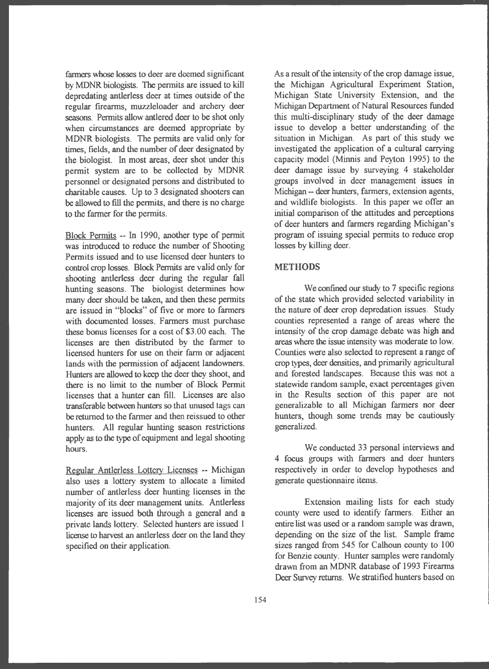fanners whose losses to deer are deemed significant by MDNR biologists. The permits are issued to kill depredating antlerless deer at times outside of the regular fireanns, muzzleloader and archery deer seasons. Permits allow antlered deer to be shot only when circumstances are deemed appropriate by MDNR biologists. The permits are valid only for times, fields, and the number of deer designated by the biologist. In most areas, deer shot under this permit system are to be collected by MDNR personnel or designated persons and distributed to charitable causes. Up to 3 designated shooters can be allowed to fill the permits, and there is no charge to the farmer for the permits.

Block Permits -- In 1990, another type of permit was introduced to reduce the number of Shooting Permits issued and to use licensed deer hunters to control crop losses. Block Permits are valid only for shooting antlerless deer during the regular fall hunting seasons. The biologist determines how many deer should be taken, and then these permits are issued in "blocks" of five or more to farmers with documented losses. Farmers must purchase these bonus licenses for a cost of \$3. 00 each. The licenses are then distributed by the farmer to licensed hunters for use on their farm or adjacent lands with the permission of adjacent landowners. Hunters are allowed to keep the deer they shoot, and there is no limit to the number of Block Permit licenses that a hunter can fill. Licenses are also transferable between hunters so that unused tags can be returned to the farmer and then reissued to other hunters. All regular hunting season restrictions apply as to the type of equipment and legal shooting hours.

Regular Antlerless Lottery Licenses -- Michigan also uses a lottery system to allocate a limited number of antlerless deer hunting licenses in the majority of its deer management units. Antlerless licenses are issued both through a general and a private lands lottery. Selected hunters are issued 1 license to harvest an antlerless deer on the land they specified on their application.

As a result of the intensity of the crop damage issue, the Michigan Agricultural Experiment Station, Michigan State University Extension, and the Michigan Department of Natural Resources funded this multi-disciplinary study of the deer damage issue to develop a better understanding of the situation in Michigan. As part of this study we investigated the application of a cultural carrying capacity model (Minnis and Peyton 1995) to the deer damage issue by surveying 4 stakeholder groups involved in deer management issues in Michigan -- deer hunters, farmers, extension agents, and wildlife biologists. In this paper we offer an initial comparison of the attitudes and perceptions of deer hunters and farmers regarding Michigan's program of issuing special permits to reduce crop losses by killing deer.

# **METHODS**

We confined our study to 7 specific regions of the state which provided selected variability in the nature of deer crop depredation issues. Study counties represented a range of areas where the intensity of the crop damage debate was high and areas where the issue intensity was moderate to low. Counties were also selected to represent a range of crop types, deer densities, and primarily agricultural and forested landscapes. Because this was not a statewide random sample, exact percentages given in the Results section of this paper are not generalizable to all Michigan farmers nor deer hunters, though some trends may be cautiously generalized.

We conducted 33 personal interviews and 4 focus groups with farmers and deer hunters respectively in order to develop hypotheses and generate questionnaire items.

Extension mailing lists for each study county were used to identify farmers. Either an entire list was used or a random sample was drawn, depending on the size of the list. Sample frame sizes ranged from 545 for Calhoun county to 100 for Benzie county. Hunter samples were randomly drawn from an MDNR database of 1993 Firearms Deer Survey returns. We stratified hunters based on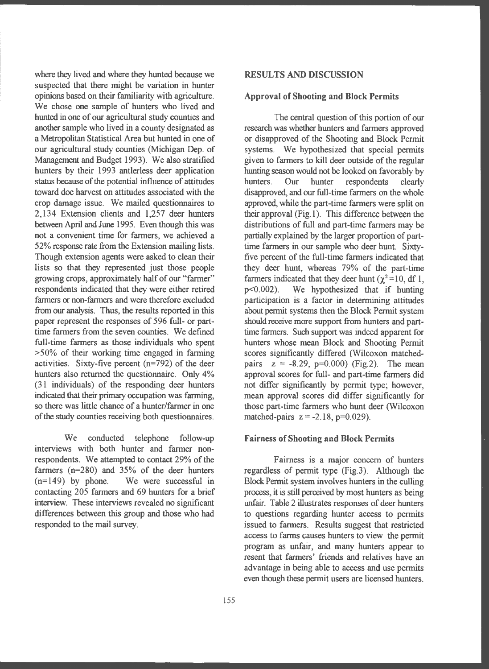where they lived and where they hunted because we suspected that there might be variation in hunter opinions based on their familiarity with agriculture. We chose one sample of hunters who lived and hunted in one of our agricultural study counties and another sample who lived in a county designated as a Metropolitan Statistical Area but hunted in one of our agricultural study counties (Michigan Dep. of Management and Budget 1993). We also stratified hunters by their 1993 antlerless deer application status because of the potential influence of attitudes toward doe harvest on attitudes associated with the crop damage issue. We mailed questionnaires to 2,134 Extension clients and 1,257 deer hunters between April and June 1995. Even though this was not a convenient time for farmers, we achieved a 52% response rate from the Extension mailing lists. Though extension agents were asked to clean their lists so that they represented just those people growing crops, approximately half of our "farmer" respondents indicated that they were either retired farmers or non-farmers and were therefore excluded from our analysis. Thus, the results reported in this paper represent the responses of 596 full- or parttime farmers from the seven counties. We defined full-time farmers as those individuals who spent >50% of their working time engaged in farming activities. Sixty-five percent (n=792) of the deer hunters also returned the questionnaire. Only 4% (31 individuals) of the responding deer hunters indicated that their primary occupation was farming, so there was little chance of a hunter/farmer in one of the study counties receiving both questionnaires.

We conducted telephone follow-up interviews with both hunter and farmer nonrespondents. We attempted to contact 29% of the farmers (n=280) and 35% of the deer hunters  $(n=149)$  by phone. We were successful in contacting 205 farmers and 69 hunters for a brief interview. These interviews revealed no significant differences between this group and those who had responded to the mail survey.

### **RESULTS AND DISCUSSION**

## **Approval of Shooting and Block Permits**

The central question of this portion of our research was whether hunters and farmers approved or disapproved of the Shooting and Block Permit systems. We hypothesized that special permits given to farmers to kill deer outside of the regular hunting season would not be looked on favorably by hunters. Our hunter respondents clearly disapproved, and our full-time farmers on the whole approved, while the part-time farmers were split on their approval (Fig. I). This difference between the distributions of full and part-time farmers may be partially explained by the larger proportion of parttime farmers in our sample who deer hunt. Sixtyfive percent of the full-time farmers indicated that they deer hunt, whereas 79% of the part-time farmers indicated that they deer hunt ( $\chi^2$ =10, df 1, p<0.002). We hypothesized that if hunting We hypothesized that if hunting participation is a factor in determining attitudes about permit systems then the Block Permit system should receive more support from hunters and parttime farmers. Such support was indeed apparent for hunters whose mean Block and Shooting Permit scores significantly differed (Wilcoxon matchedpairs  $z = -8.29$ ,  $p=0.000$ ) (Fig.2). The mean approval scores for full- and part-time farmers did not differ significantly by permit type; however, mean approval scores did differ significantly for those part-time farmers who hunt deer (Wilcoxon matched-pairs  $z = -2.18$ ,  $p=0.029$ ).

## **Fairness of Shooting and Block Permits**

Fairness is a major concern of hunters regardless of permit type (Fig.3). Although the Block Permit system involves hunters in the culling process, it is still perceived by most hunters as being unfair. Table 2 illustrates responses of deer hunters to questions regarding hunter access to permits issued to farmers. Results suggest that restricted access to farms causes hunters to view the permit program as unfair, and many hunters appear to resent that farmers' friends and relatives have an advantage in being able to access and use permits even though these permit users are licensed hunters.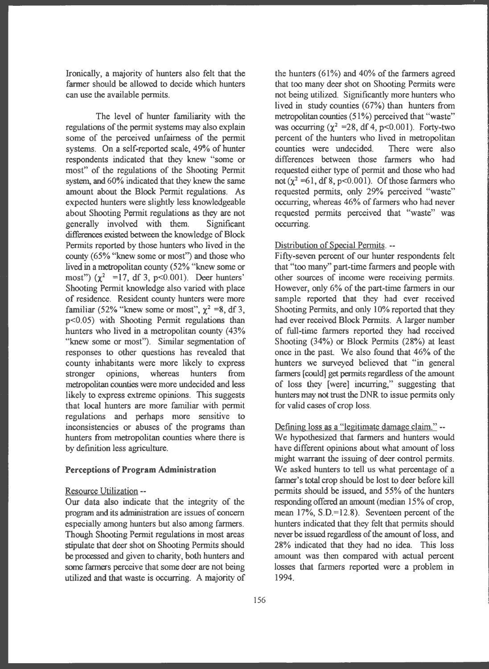Ironically, a majority of hunters also felt that the farmer should be allowed to decide which hunters can use the available permits.

The level of hunter familiarity with the regulations of the permit systems may also explain some of the perceived unfairness of the permit systems. On a self-reported scale, 49% of hunter respondents indicated that they knew "some or most" of the regulations of the Shooting Permit system, and 60% indicated that they knew the same amount about the Block Permit regulations. As expected hunters were slightly less knowledgeable about Shooting Permit regulations as they are not generally involved with them. Significant differences existed between the knowledge of Block Permits reported by those hunters who lived in the county (65% "knew some or most") and those who lived in a metropolitan county (52% "knew some or most")  $(\chi^2 = 17, df \, 3, p<0.001)$ . Deer hunters' Shooting Permit knowledge also varied with place of residence. Resident county hunters were more familiar (52% "knew some or most",  $\chi^2$  =8, df 3, p<0.05) with Shooting Permit regulations than hunters who lived in a metropolitan county (43% "knew some or most"). Similar segmentation of responses to other questions has revealed that county inhabitants were more likely to express stronger opinions, whereas hunters from metropolitan counties were more undecided and less likely to express extreme opinions. This suggests that local hunters are more familiar with permit regulations and perhaps more sensitive to inconsistencies or abuses of the programs than hunters from metropolitan counties where there is by definition less agriculture.

## **Perceptions of Program Administration**

#### Resource Utilization --

Our data also indicate that the integrity of the program and its administration are issues of concern especially among hunters but also among fanners. Though Shooting Permit regulations in most areas stipulate that deer shot on Shooting Permits should be processed and given to charity, both hunters and some farmers perceive that some deer are not being utilized and that waste is occurring. A majority of

the hunters (61%) and 40% of the fanners agreed that too many deer shot on Shooting Permits were not being utilized. Significantly more hunters who lived in study counties (67%) than hunters from metropolitan counties  $(51\%)$  perceived that "waste" was occurring  $(\chi^2 = 28, df 4, p < 0.001)$ . Forty-two percent of the hunters who lived in metropolitan counties were undecided. There were also differences between those fanners who had requested either type of permit and those who had not ( $\chi^2$  =61, df 8, p<0.001). Of those farmers who requested permits, only 29% perceived "waste" occurring, whereas 46% of fanners who had never requested permits perceived that "waste" was occurring.

#### Distribution of Special Permits. --

Fifty-seven percent of our hunter respondents felt that "too many" part-time fanners and people with other sources of income were receiving permits. However, only 6% of the part-time farmers in our sample reported that they had ever received Shooting Permits, and only 10% reported that they had ever received Block Permits. A larger number of full-time farmers reported they had received Shooting (34%) or Block Permits (28%) at least once in the past. We also found that 46% of the hunters we surveyed believed that "in general farmers [could] get pennits regardless of the amount of loss they [were] incurring," suggesting that hunters may not trust the DNR to issue permits only for valid cases of crop loss.

#### Defining loss as a "legitimate damage claim." --

We hypothesized that fanners and hunters would have different opinions about what amount of loss might warrant the issuing of deer control permits. We asked hunters to tell us what percentage of a farmer's total crop should be lost to deer before kill permits should be issued, and 55% of the hunters responding offered an amount (median 15% of crop, mean 17%, S.D.=12.8). Seventeen percent of the hunters indicated that they felt that permits should never be issued regardless of the amount of loss, and 28% indicated that they had no idea. This loss amount was then compared with actual percent losses that fanners reported were a problem in 1994.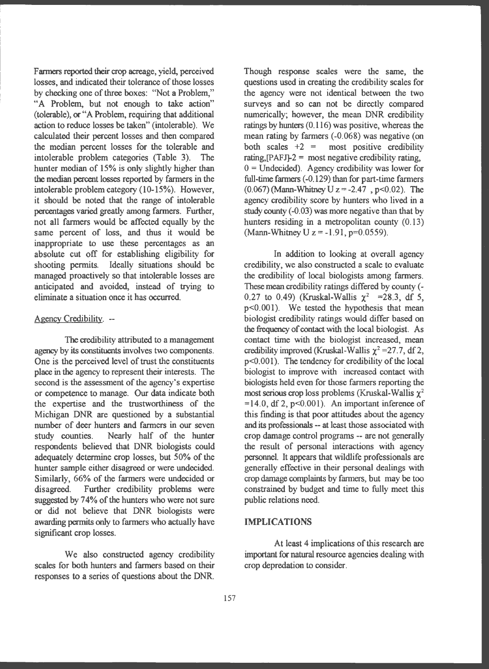Farmers reported their crop acreage, yield, perceived losses, and indicated their tolerance of those losses by checking one of three boxes: ''Not a Problem," "A Problem, but not enough to take action" (tolerable), or "A Problem, requiring that additional action to reduce losses be taken" (intolerable). We calculated their percent losses and then compared the median percent losses for the tolerable and intolerable problem categories (Table 3). The hunter median of 15% is only slightly higher than the median percent losses reported by farmers in the intolerable problem category (10-15%). However, it should be noted that the range of intolerable percentages varied greatly among farmers. Further, not all farmers would be affected equally by the same percent of loss, and thus it would be inappropriate to use these percentages as an absolute cut off for establishing eligibility for shooting permits. Ideally situations should be managed proactively so that intolerable losses are anticipated and avoided, instead of trying to eliminate a situation once it has occurred.

#### Agency Credibility. --

The credibility attributed to a management agency by its constituents involves two components. One is the perceived level of trust the constituents place in the agency to represent their interests. The second is the assessment of the agency's expertise or competence to manage. Our data indicate both the expertise and the trustworthiness of the Michigan DNR are questioned by a substantial number of deer hunters and farmers in our seven study counties. Nearly half of the hunter respondents believed that DNR biologists could adequately determine crop losses, but 50% of the hunter sample either disagreed or were undecided. Similarly, 66% of the farmers were undecided or disagreed. Further credibility problems were suggested by 74% of the hunters who were not sure or did not believe that DNR biologists were awarding permits only to farmers who actually have significant crop losses.

We also constructed agency credibility scales for both hunters and farmers based on their responses to a series of questions about the DNR

Though response scales were the same, the questions used in creating the credibility scales for the agency were not identical between the two surveys and so can not be directly compared numerically; however, the mean DNR credibility ratings by hunters (0.116) was positive, whereas the mean rating by farmers (-0.068) was negative (on both scales  $+2 =$  most positive credibility rating,  $[PAFJ-2]$  = most negative credibility rating,  $0 =$  Undecided). Agency credibility was lower for full-time farmers (-0.129) than for part-time farmers (0.067) (Mann-Whitney U z = -2.47, p<0.02). The agency credibility score by hunters who lived in a study county (-0.03) was more negative than that by hunters residing in a metropolitan county (0.13) (Mann-Whitney U  $z = -1.91$ , p=0.0559).

In addition to looking at overall agency credibility, we also constructed a scale to evaluate the credibility of local biologists among farmers. These mean credibility ratings differed by county (- 0.27 to 0.49) (Kruskal-Wallis  $\chi^2$  = 28.3, df 5, p<0.001). We tested the hypothesis that mean biologist credibility ratings would differ based on the frequency of contact with the local biologist. As contact time with the biologist increased, mean credibility improved (Kruskal-Wallis  $\chi^2$  =27.7, df 2, p<0 .001). The tendency for credibility of the local biologist to improve with increased contact with biologists held even for those farmers reporting the most serious crop loss problems (Kruskal-Wallis  $\chi^2$  $=14.0$ , df 2, p<0.001). An important inference of this finding is that poor attitudes about the agency and its professionals -- at least those associated with crop damage control programs -- are not generally the result of personal interactions with agency personnel. It appears that wildlife professionals are generally effective in their personal dealings with crop damage complaints by farmers, but may be too constrained by budget and time to fully meet this public relations need.

#### **IMPLICATIONS**

At least 4 implications of this research are important for natural resource agencies dealing with crop depredation to consider.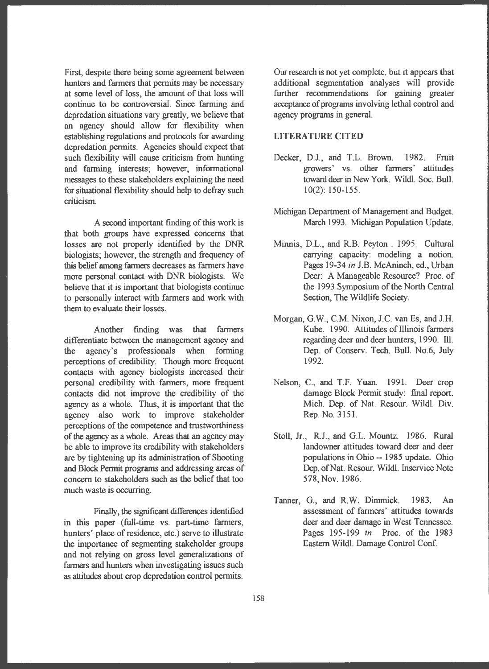First, despite there being some agreement between hunters and farmers that permits may be necessary at some level of loss, the amount of that loss will continue to be controversial. Since farming and depredation situations vary greatly, we believe that an agency should allow for flexibility when establishing regulations and protocols for awarding depredation permits. Agencies should expect that such flexibility will cause criticism from hunting and farming interests; however, informational messages to these stakeholders explaining the need for situational flexibility should help to defray such criticism.

A second important finding of this work is that both groups have expressed concerns that losses are not properly identified by the DNR biologists; however, the strength and frequency of this belief among fanners decreases as farmers have more personal contact with DNR biologists. We believe that it is important that biologists continue to personally interact with farmers and work with them to evaluate their losses.

Another finding was that farmers differentiate between the management agency and the agency's professionals when forming perceptions of credibility. Though more frequent contacts with agency biologists increased their personal credibility with farmers, more frequent contacts did not improve the credibility of the agency as a whole. Thus, it is important that the agency also work to improve stakeholder perceptions of the competence and trustworthiness of the agency as a whole. Areas that an agency may be able to improve its credibility with stakeholders are by tightening up its administration of Shooting and Block Permit programs and addressing areas of concern to stakeholders such as the belief that too much waste is occurring.

Finally, the significant differences identified in this paper (full-time vs. part-time farmers, hunters' place of residence, etc.) serve to illustrate the importance of segmenting stakeholder groups and not relying on gross level generalizations of farmers and hunters when investigating issues such as attitudes about crop depredation control permits.

Our research is not yet complete, but it appears that additional segmentation analyses will provide further recommendations for gaining greater acceptance of programs involving lethal control and agency programs in general.

## **LITERATURE OTED**

- Decker, D.J., and T.L. Brown. 1982. Fruit growers' vs. other farmers' attitudes toward deer in New York. Wildl. Soc. Bull. 10(2): 150-155.
- Michigan Department of Management and Budget. March 1993. Michigan Population Update.
- Minnis, D.L., and R.B. Peyton . 1995. Cultural carrying capacity: modeling a notion. Pages 19-34 in J.B. McAninch, ed., Urban Deer: A Manageable Resource? Proc. of the 1993 Symposium of the North Central Section, The Wildlife Society.
- Morgan, G.W., C.M. Nixon, J.C. van Es, and J.H. Kube. 1990. Attitudes of Illinois farmers regarding deer and deer hunters, 1990. Ill. Dep. of Conserv. Tech. Bull. No.6, July 1992.
- Nelson, C., and T.F. Yuan. 1991. Deer crop damage Block Permit study: final report. Mich. Dep. of Nat. Resour. Wildl. Div. Rep. No. 3151.
- Stoll, Jr., R.J., and G.L. Mountz. 1986. Rural landowner attitudes toward deer and deer populations in Ohio -- 1985 update. Ohio Dep. of Nat. Resour. Wildl. Inservice Note 578, Nov. 1986.
- Tanner, G., and R.W. Dimmick. 1983. An assessment of farmers' attitudes towards deer and deer damage in West Tennessee. Pages 195-199 in Proc. of the 1983 Eastern Wildl. Damage Control Conf.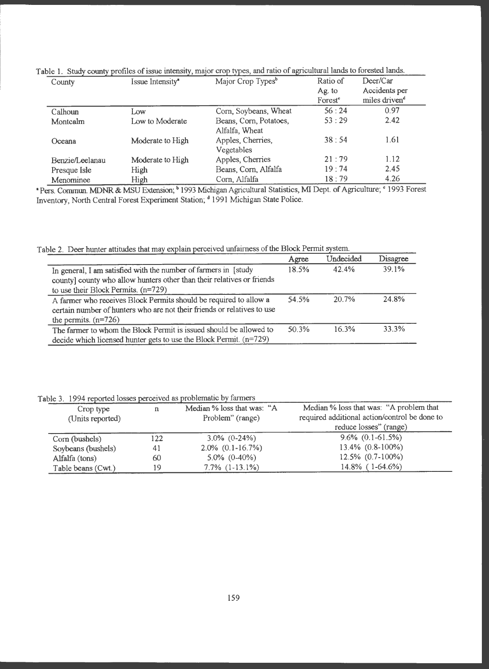| County          | $\cdot$<br>Issue Intensity <sup>*</sup> | $\sim$ 1<br>Major Crop Types <sup>b</sup> | Ratio of<br>Ag. to  | Deer/Car<br>Accidents per |
|-----------------|-----------------------------------------|-------------------------------------------|---------------------|---------------------------|
|                 |                                         |                                           | Forest <sup>e</sup> | miles driven <sup>d</sup> |
| Calhoun         | Low                                     | Corn, Soybeans, Wheat                     | 56:24               | 0.97                      |
| Montcalm        | Low to Moderate                         | Beans, Corn, Potatoes,<br>Alfalfa, Wheat  | 53:29               | 2.42                      |
| Oceana          | Moderate to High                        | Apples, Cherries,<br>Vegetables           | 38:54               | 1.61                      |
| Benzie/Leelanau | Moderate to High                        | Apples, Cherries                          | 21:79               | 1.12                      |
| Presque Isle    | High                                    | Beans, Corn, Alfalfa                      | 19:74               | 2.45                      |
| Menominee       | High                                    | Corn, Alfalfa                             | 18:79               | 4.26                      |

| Table 1. Study county profiles of issue intensity, major crop types, and ratio of agricultural lands to forested lands. |
|-------------------------------------------------------------------------------------------------------------------------|
|-------------------------------------------------------------------------------------------------------------------------|

• Pers. Commun. MDNR & MSU Extension; <sup>b</sup> 1993 Michigan Agricultural Statistics, MI Dept. of Agriculture; <sup>c</sup> 1993 Forest Inventory, North Central Forest Experiment Station; <sup>a</sup> 1991 Michigan State Police.

Table 2. Deer hunter attitudes that may explain perceived unfairness of the Block Permit system.

|                                                                                                                                                                                     | Agree | Undecided | Disagree |
|-------------------------------------------------------------------------------------------------------------------------------------------------------------------------------------|-------|-----------|----------|
| In general, I am satisfied with the number of farmers in [study]<br>county] county who allow hunters other than their relatives or friends<br>to use their Block Permits. $(n=729)$ |       | 42.4%     | 39.1%    |
| A farmer who receives Block Permits should be required to allow a<br>certain number of hunters who are not their friends or relatives to use<br>the permits. $(n=726)$              |       | $20.7\%$  | 24.8%    |
| The farmer to whom the Block Permit is issued should be allowed to<br>decide which licensed hunter gets to use the Block Permit. $(n=729)$                                          |       | 16.3%     | 33.3%    |

Table 3. 1994 reported losses perceived as problematic by farmers

| Crop type<br>(Units reported) | n   | Median % loss that was: "A<br>Problem" (range) | Median % loss that was: "A problem that<br>required additional action/control be done to |
|-------------------------------|-----|------------------------------------------------|------------------------------------------------------------------------------------------|
|                               |     |                                                | reduce losses" (range)                                                                   |
| Corn (bushels)                | 122 | $3.0\%$ (0-24%)                                | $9.6\%$ (0.1-61.5%)                                                                      |
| Soybeans (bushels)            | 41  | $2.0\%$ (0.1-16.7%)                            | 13.4% (0.8-100%)                                                                         |
| Alfalfa (tons)                | 60  | $5.0\%$ (0-40%)                                | 12.5% (0.7-100%)                                                                         |
| Table beans (Cwt.)            | 19  | $7.7\%$ $(1-13.1\%)$                           | $14.8\%$ (1-64.6%)                                                                       |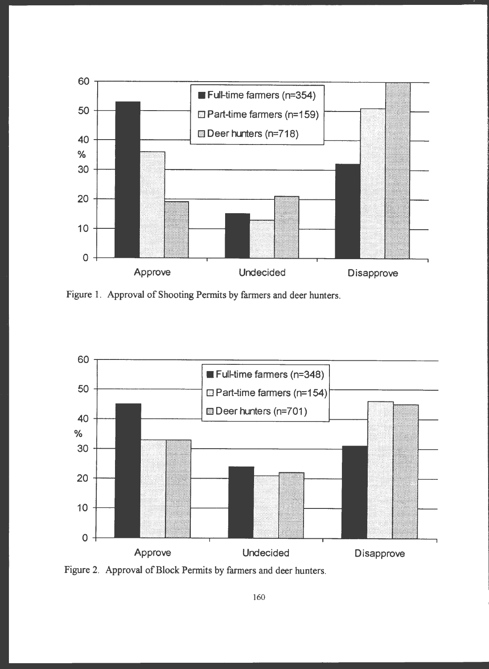

Figure 1. Approval of Shooting Permits by farmers and deer hunters.



Figure 2. Approval of Block Permits by farmers and deer hunters.